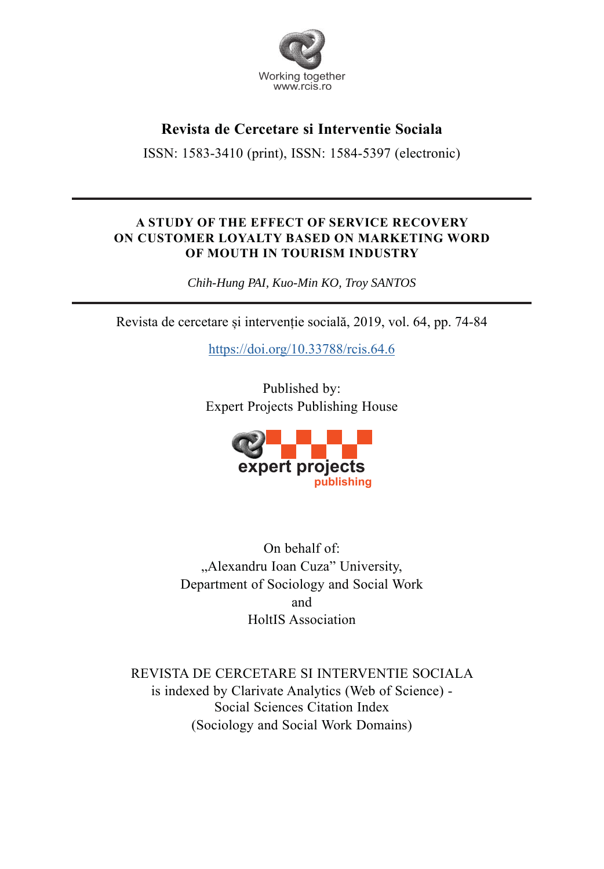

# **Revista de Cercetare si Interventie Sociala**

ISSN: 1583-3410 (print), ISSN: 1584-5397 (electronic)

## **A STUDY OF THE EFFECT OF SERVICE RECOVERY ON CUSTOMER LOYALTY BASED ON MARKETING WORD OF MOUTH IN TOURISM INDUSTRY**

*Chih-Hung PAI, Kuo-Min KO, Troy SANTOS* 

Revista de cercetare și intervenție socială, 2019, vol. 64, pp. 74-84

https://doi.org/10.33788/rcis.64.6

Published by: Expert Projects Publishing House



On behalf of: "Alexandru Ioan Cuza" University, Department of Sociology and Social Work and HoltIS Association

REVISTA DE CERCETARE SI INTERVENTIE SOCIALA is indexed by Clarivate Analytics (Web of Science) - Social Sciences Citation Index (Sociology and Social Work Domains)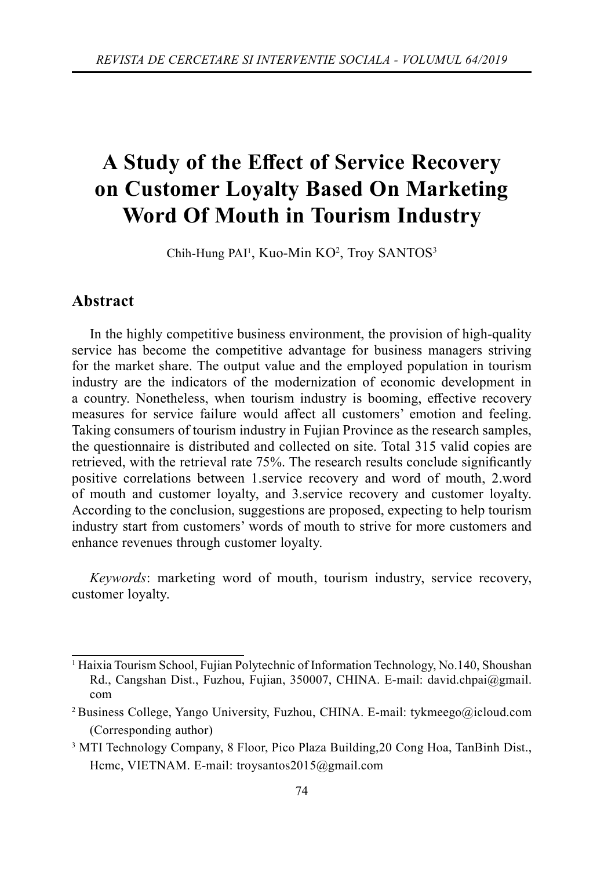# A Study of the Effect of Service Recovery **on Customer Loyalty Based On Marketing Word Of Mouth in Tourism Industry**

Chih-Hung PAI<sup>1</sup>, Kuo-Min KO<sup>2</sup>, Troy SANTOS<sup>3</sup>

## **Abstract**

In the highly competitive business environment, the provision of high-quality service has become the competitive advantage for business managers striving for the market share. The output value and the employed population in tourism industry are the indicators of the modernization of economic development in a country. Nonetheless, when tourism industry is booming, effective recovery measures for service failure would affect all customers' emotion and feeling. Taking consumers of tourism industry in Fujian Province as the research samples, the questionnaire is distributed and collected on site. Total 315 valid copies are retrieved, with the retrieval rate 75%. The research results conclude significantly positive correlations between 1.service recovery and word of mouth, 2.word of mouth and customer loyalty, and 3.service recovery and customer loyalty. According to the conclusion, suggestions are proposed, expecting to help tourism industry start from customers' words of mouth to strive for more customers and enhance revenues through customer loyalty.

*Keywords*: marketing word of mouth, tourism industry, service recovery, customer loyalty.

<sup>&</sup>lt;sup>1</sup> Haixia Tourism School, Fujian Polytechnic of Information Technology, No.140, Shoushan Rd., Cangshan Dist., Fuzhou, Fujian, 350007, CHINA. E-mail: david.chpai@gmail. com

<sup>&</sup>lt;sup>2</sup> Business College, Yango University, Fuzhou, CHINA. E-mail: tykmeego@icloud.com (Corresponding author)

<sup>3</sup> MTI Technology Company, 8 Floor, Pico Plaza Building,20 Cong Hoa, TanBinh Dist., Hcmc, VIETNAM. E-mail: troysantos2015@gmail.com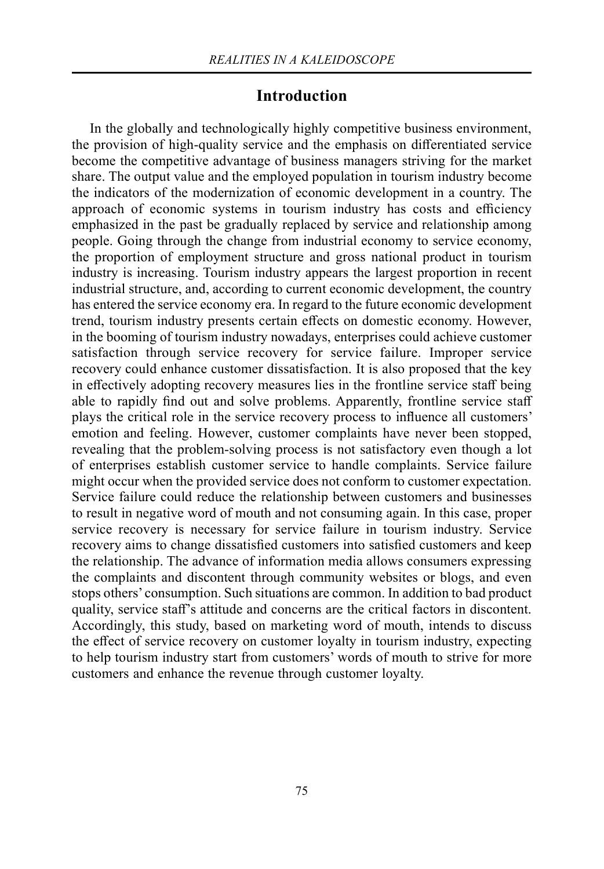## **Introduction**

In the globally and technologically highly competitive business environment, the provision of high-quality service and the emphasis on differentiated service become the competitive advantage of business managers striving for the market share. The output value and the employed population in tourism industry become the indicators of the modernization of economic development in a country. The approach of economic systems in tourism industry has costs and efficiency emphasized in the past be gradually replaced by service and relationship among people. Going through the change from industrial economy to service economy, the proportion of employment structure and gross national product in tourism industry is increasing. Tourism industry appears the largest proportion in recent industrial structure, and, according to current economic development, the country has entered the service economy era. In regard to the future economic development trend, tourism industry presents certain effects on domestic economy. However, in the booming of tourism industry nowadays, enterprises could achieve customer satisfaction through service recovery for service failure. Improper service recovery could enhance customer dissatisfaction. It is also proposed that the key in effectively adopting recovery measures lies in the frontline service staff being able to rapidly find out and solve problems. Apparently, frontline service staff plays the critical role in the service recovery process to influence all customers' emotion and feeling. However, customer complaints have never been stopped, revealing that the problem-solving process is not satisfactory even though a lot of enterprises establish customer service to handle complaints. Service failure might occur when the provided service does not conform to customer expectation. Service failure could reduce the relationship between customers and businesses to result in negative word of mouth and not consuming again. In this case, proper service recovery is necessary for service failure in tourism industry. Service recovery aims to change dissatisfied customers into satisfied customers and keep the relationship. The advance of information media allows consumers expressing the complaints and discontent through community websites or blogs, and even stops others' consumption. Such situations are common. In addition to bad product quality, service staff's attitude and concerns are the critical factors in discontent. Accordingly, this study, based on marketing word of mouth, intends to discuss the effect of service recovery on customer loyalty in tourism industry, expecting to help tourism industry start from customers' words of mouth to strive for more customers and enhance the revenue through customer loyalty.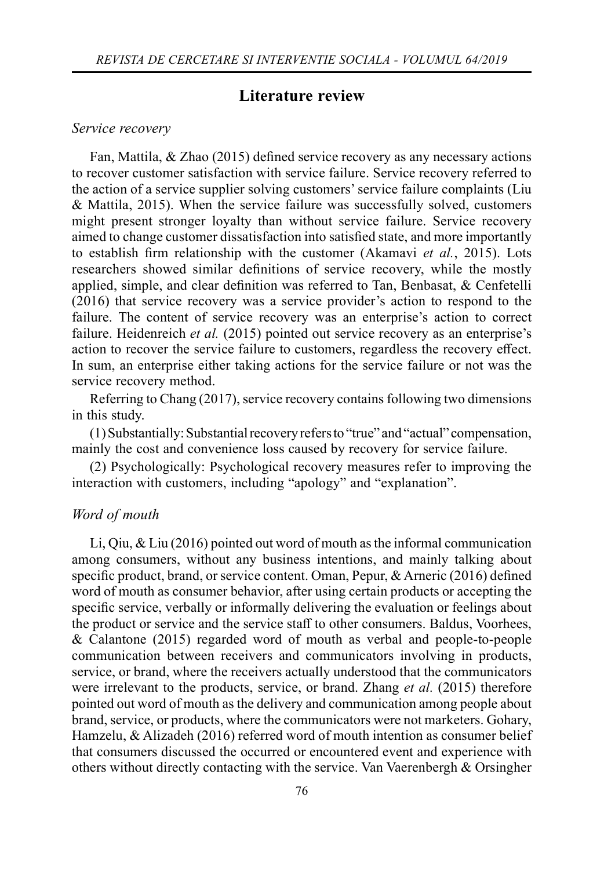## **Literature review**

#### *Service recovery*

Fan, Mattila,  $\&$  Zhao (2015) defined service recovery as any necessary actions to recover customer satisfaction with service failure. Service recovery referred to the action of a service supplier solving customers' service failure complaints (Liu & Mattila, 2015). When the service failure was successfully solved, customers might present stronger loyalty than without service failure. Service recovery aimed to change customer dissatisfaction into satisfied state, and more importantly to establish firm relationship with the customer (Akamavi *et al.*, 2015). Lots researchers showed similar definitions of service recovery, while the mostly applied, simple, and clear definition was referred to Tan, Benbasat,  $\&$  Cenfetelli (2016) that service recovery was a service provider's action to respond to the failure. The content of service recovery was an enterprise's action to correct failure. Heidenreich *et al.* (2015) pointed out service recovery as an enterprise's action to recover the service failure to customers, regardless the recovery effect. In sum, an enterprise either taking actions for the service failure or not was the service recovery method.

Referring to Chang (2017), service recovery contains following two dimensions in this study.

(1) Substantially: Substantial recovery refers to "true" and "actual" compensation, mainly the cost and convenience loss caused by recovery for service failure.

(2) Psychologically: Psychological recovery measures refer to improving the interaction with customers, including "apology" and "explanation".

#### *Word of mouth*

Li, Qiu, & Liu (2016) pointed out word of mouth as the informal communication among consumers, without any business intentions, and mainly talking about specific product, brand, or service content. Oman, Pepur, & Arneric (2016) defined word of mouth as consumer behavior, after using certain products or accepting the specific service, verbally or informally delivering the evaluation or feelings about the product or service and the service staff to other consumers. Baldus, Voorhees, & Calantone (2015) regarded word of mouth as verbal and people-to-people communication between receivers and communicators involving in products, service, or brand, where the receivers actually understood that the communicators were irrelevant to the products, service, or brand. Zhang *et al.* (2015) therefore pointed out word of mouth as the delivery and communication among people about brand, service, or products, where the communicators were not marketers. Gohary, Hamzelu, & Alizadeh (2016) referred word of mouth intention as consumer belief that consumers discussed the occurred or encountered event and experience with others without directly contacting with the service. Van Vaerenbergh & Orsingher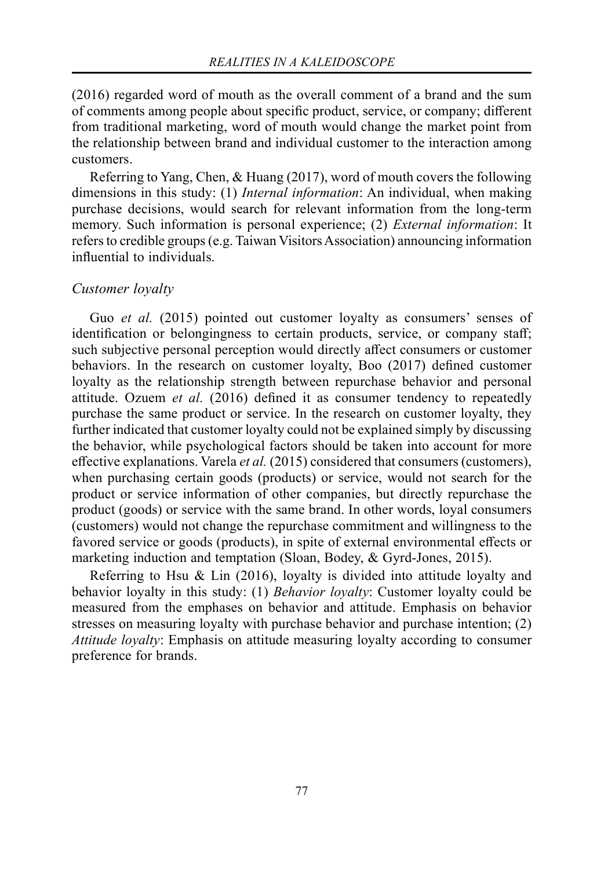(2016) regarded word of mouth as the overall comment of a brand and the sum of comments among people about specific product, service, or company; different from traditional marketing, word of mouth would change the market point from the relationship between brand and individual customer to the interaction among customers.

Referring to Yang, Chen, & Huang (2017), word of mouth covers the following dimensions in this study: (1) *Internal information*: An individual, when making purchase decisions, would search for relevant information from the long-term memory. Such information is personal experience; (2) *External information*: It refers to credible groups (e.g. Taiwan Visitors Association) announcing information influential to individuals.

#### *Customer loyalty*

Guo *et al.* (2015) pointed out customer loyalty as consumers' senses of identification or belongingness to certain products, service, or company staff; such subjective personal perception would directly affect consumers or customer behaviors. In the research on customer loyalty, Boo  $(2017)$  defined customer loyalty as the relationship strength between repurchase behavior and personal attitude. Ozuem *et al.* (2016) defined it as consumer tendency to repeatedly purchase the same product or service. In the research on customer loyalty, they further indicated that customer loyalty could not be explained simply by discussing the behavior, while psychological factors should be taken into account for more effective explanations. Varela *et al.* (2015) considered that consumers (customers), when purchasing certain goods (products) or service, would not search for the product or service information of other companies, but directly repurchase the product (goods) or service with the same brand. In other words, loyal consumers (customers) would not change the repurchase commitment and willingness to the favored service or goods (products), in spite of external environmental effects or marketing induction and temptation (Sloan, Bodey, & Gyrd-Jones, 2015).

Referring to Hsu & Lin (2016), loyalty is divided into attitude loyalty and behavior loyalty in this study: (1) *Behavior loyalty*: Customer loyalty could be measured from the emphases on behavior and attitude. Emphasis on behavior stresses on measuring loyalty with purchase behavior and purchase intention; (2) *Attitude loyalty*: Emphasis on attitude measuring loyalty according to consumer preference for brands.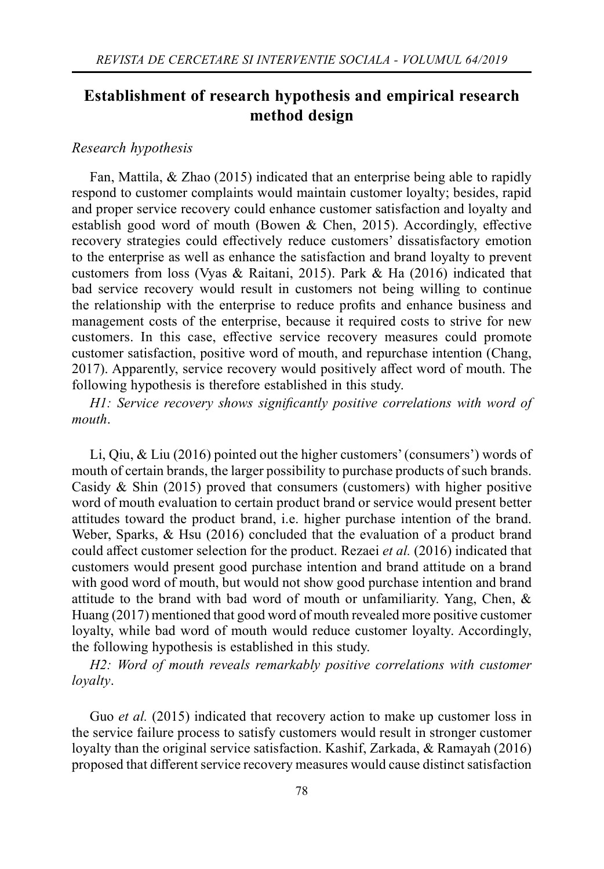## **Establishment of research hypothesis and empirical research method design**

#### *Research hypothesis*

Fan, Mattila, & Zhao (2015) indicated that an enterprise being able to rapidly respond to customer complaints would maintain customer loyalty; besides, rapid and proper service recovery could enhance customer satisfaction and loyalty and establish good word of mouth (Bowen & Chen, 2015). Accordingly, effective recovery strategies could effectively reduce customers' dissatisfactory emotion to the enterprise as well as enhance the satisfaction and brand loyalty to prevent customers from loss (Vyas & Raitani, 2015). Park & Ha (2016) indicated that bad service recovery would result in customers not being willing to continue the relationship with the enterprise to reduce profits and enhance business and management costs of the enterprise, because it required costs to strive for new customers. In this case, effective service recovery measures could promote customer satisfaction, positive word of mouth, and repurchase intention (Chang, 2017). Apparently, service recovery would positively affect word of mouth. The following hypothesis is therefore established in this study.

*H1: Service recovery shows significantly positive correlations with word of mouth*.

Li, Qiu, & Liu (2016) pointed out the higher customers' (consumers') words of mouth of certain brands, the larger possibility to purchase products of such brands. Casidy & Shin (2015) proved that consumers (customers) with higher positive word of mouth evaluation to certain product brand or service would present better attitudes toward the product brand, i.e. higher purchase intention of the brand. Weber, Sparks, & Hsu (2016) concluded that the evaluation of a product brand could affect customer selection for the product. Rezaei *et al.* (2016) indicated that customers would present good purchase intention and brand attitude on a brand with good word of mouth, but would not show good purchase intention and brand attitude to the brand with bad word of mouth or unfamiliarity. Yang, Chen, & Huang (2017) mentioned that good word of mouth revealed more positive customer loyalty, while bad word of mouth would reduce customer loyalty. Accordingly, the following hypothesis is established in this study.

*H2: Word of mouth reveals remarkably positive correlations with customer loyalty*.

Guo *et al.* (2015) indicated that recovery action to make up customer loss in the service failure process to satisfy customers would result in stronger customer loyalty than the original service satisfaction. Kashif, Zarkada, & Ramayah (2016) proposed that different service recovery measures would cause distinct satisfaction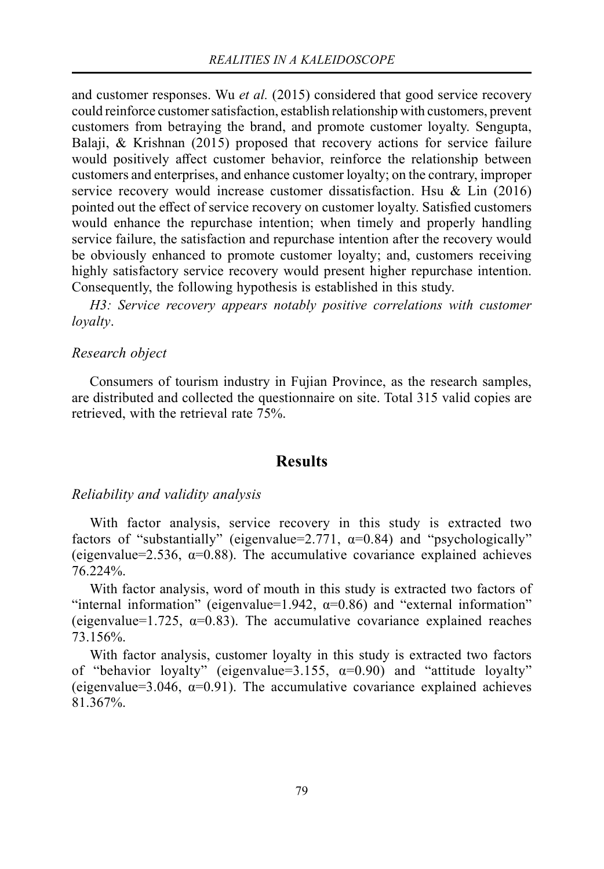and customer responses. Wu *et al.* (2015) considered that good service recovery could reinforce customer satisfaction, establish relationship with customers, prevent customers from betraying the brand, and promote customer loyalty. Sengupta, Balaji, & Krishnan (2015) proposed that recovery actions for service failure would positively affect customer behavior, reinforce the relationship between customers and enterprises, and enhance customer loyalty; on the contrary, improper service recovery would increase customer dissatisfaction. Hsu & Lin  $(2016)$ pointed out the effect of service recovery on customer loyalty. Satisfied customers would enhance the repurchase intention; when timely and properly handling service failure, the satisfaction and repurchase intention after the recovery would be obviously enhanced to promote customer loyalty; and, customers receiving highly satisfactory service recovery would present higher repurchase intention. Consequently, the following hypothesis is established in this study.

*H3: Service recovery appears notably positive correlations with customer loyalty*.

#### *Research object*

Consumers of tourism industry in Fujian Province, as the research samples, are distributed and collected the questionnaire on site. Total 315 valid copies are retrieved, with the retrieval rate 75%.

## **Results**

#### *Reliability and validity analysis*

With factor analysis, service recovery in this study is extracted two factors of "substantially" (eigenvalue=2.771,  $\alpha$ =0.84) and "psychologically" (eigenvalue=2.536,  $\alpha$ =0.88). The accumulative covariance explained achieves 76.224%.

With factor analysis, word of mouth in this study is extracted two factors of "internal information" (eigenvalue=1.942,  $\alpha$ =0.86) and "external information" (eigenvalue=1.725,  $\alpha$ =0.83). The accumulative covariance explained reaches 73.156%.

With factor analysis, customer loyalty in this study is extracted two factors of "behavior loyalty" (eigenvalue=3.155,  $\alpha=0.90$ ) and "attitude loyalty" (eigenvalue=3.046,  $\alpha$ =0.91). The accumulative covariance explained achieves 81.367%.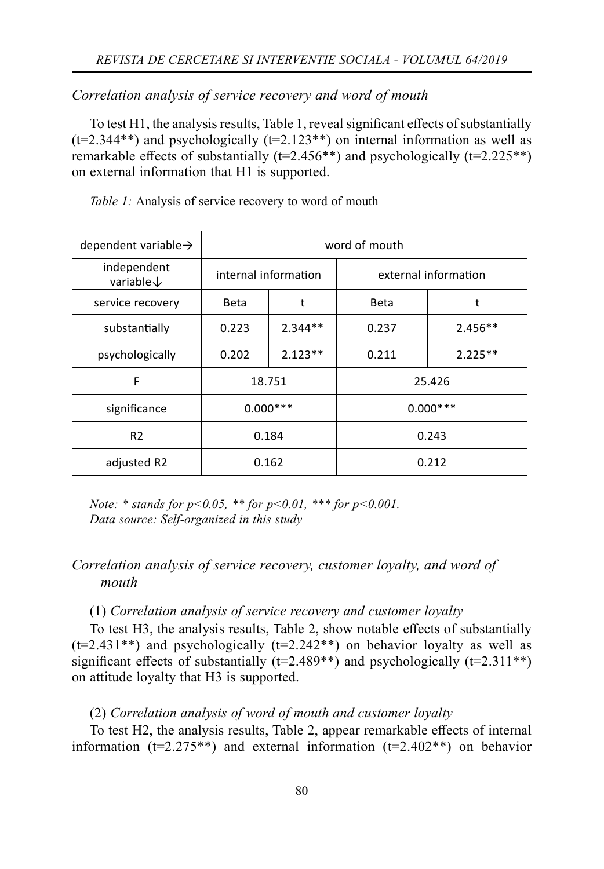#### *Correlation analysis of service recovery and word of mouth*

To test H1, the analysis results, Table 1, reveal significant effects of substantially  $(t=2.344**)$  and psychologically  $(t=2.123**)$  on internal information as well as remarkable effects of substantially ( $t=2.456**$ ) and psychologically ( $t=2.225**$ ) on external information that H1 is supported.

| dependent variable $\rightarrow$     | word of mouth |                      |                      |           |  |  |  |
|--------------------------------------|---------------|----------------------|----------------------|-----------|--|--|--|
| independent<br>variable $\downarrow$ |               | internal information | external information |           |  |  |  |
| service recovery                     | <b>Beta</b>   | t                    | <b>Beta</b>          | t         |  |  |  |
| substantially                        | 0.223         | $2.344**$            | 0.237                | $2.456**$ |  |  |  |
| psychologically                      | 0.202         | $2.123**$            | 0.211                | $2.225**$ |  |  |  |
| F                                    |               | 18.751               | 25.426               |           |  |  |  |
| significance                         | $0.000***$    |                      | $0.000***$           |           |  |  |  |
| R <sub>2</sub>                       | 0.184         |                      | 0.243                |           |  |  |  |
| adjusted R2                          |               | 0.162                | 0.212                |           |  |  |  |

*Table 1:* Analysis of service recovery to word of mouth

*Note: \* stands for p<0.05, \*\* for p<0.01, \*\*\* for p<0.001. Data source: Self-organized in this study*

## *Correlation analysis of service recovery, customer loyalty, and word of mouth*

#### (1) *Correlation analysis of service recovery and customer loyalty*

To test H3, the analysis results, Table 2, show notable effects of substantially  $(t=2.431**)$  and psychologically  $(t=2.242**)$  on behavior loyalty as well as significant effects of substantially ( $t=2.489**$ ) and psychologically ( $t=2.311**$ ) on attitude loyalty that H3 is supported.

#### (2) *Correlation analysis of word of mouth and customer loyalty*

To test H2, the analysis results, Table 2, appear remarkable effects of internal information ( $t=2.275**$ ) and external information ( $t=2.402**$ ) on behavior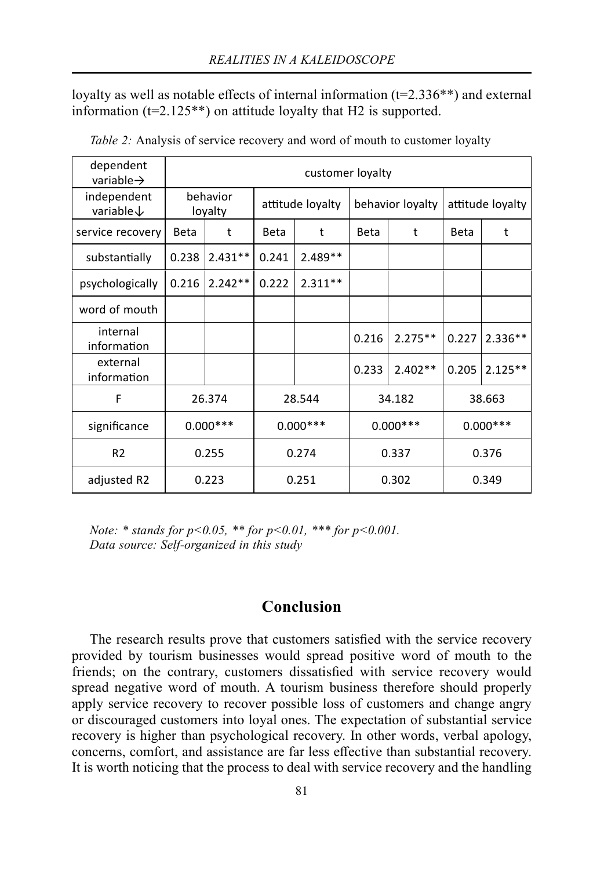loyalty as well as notable effects of internal information ( $t=2.336**$ ) and external information ( $t=2.125**$ ) on attitude loyalty that H2 is supported.

| dependent<br>variable $\rightarrow$  | customer loyalty    |           |                  |           |                  |           |                  |           |  |  |  |
|--------------------------------------|---------------------|-----------|------------------|-----------|------------------|-----------|------------------|-----------|--|--|--|
| independent<br>variable $\downarrow$ | behavior<br>loyalty |           | attitude loyalty |           | behavior loyalty |           | attitude loyalty |           |  |  |  |
| service recovery                     | Beta                | t         | <b>Beta</b>      | t         | <b>Beta</b>      | t         | Beta             | t         |  |  |  |
| substantially                        | 0.238               | $2.431**$ | 0.241            | $2.489**$ |                  |           |                  |           |  |  |  |
| psychologically                      | 0.216               | $2.242**$ | 0.222            | $2.311**$ |                  |           |                  |           |  |  |  |
| word of mouth                        |                     |           |                  |           |                  |           |                  |           |  |  |  |
| internal<br>information              |                     |           |                  |           | 0.216            | $2.275**$ | 0.227            | $2.336**$ |  |  |  |
| external<br>information              |                     |           |                  |           | 0.233            | $2.402**$ | 0.205            | $2.125**$ |  |  |  |
| F                                    | 26.374              |           | 28.544           |           | 34.182           |           | 38.663           |           |  |  |  |
| significance                         | $0.000***$          |           | $0.000***$       |           | $0.000***$       |           | $0.000***$       |           |  |  |  |
| R <sub>2</sub>                       | 0.255               |           | 0.274            |           | 0.337            |           | 0.376            |           |  |  |  |
| adjusted R2                          | 0.223               |           | 0.251            |           | 0.302            |           | 0.349            |           |  |  |  |

*Table 2:* Analysis of service recovery and word of mouth to customer loyalty

*Note: \* stands for p<0.05, \*\* for p<0.01, \*\*\* for p<0.001. Data source: Self-organized in this study*

## **Conclusion**

The research results prove that customers satisfied with the service recovery provided by tourism businesses would spread positive word of mouth to the friends; on the contrary, customers dissatisfied with service recovery would spread negative word of mouth. A tourism business therefore should properly apply service recovery to recover possible loss of customers and change angry or discouraged customers into loyal ones. The expectation of substantial service recovery is higher than psychological recovery. In other words, verbal apology, concerns, comfort, and assistance are far less effective than substantial recovery. It is worth noticing that the process to deal with service recovery and the handling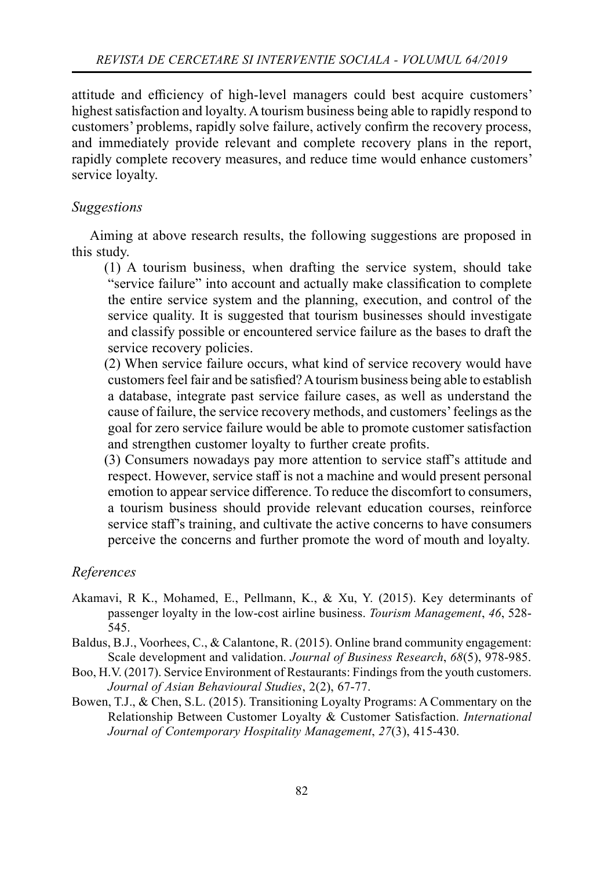attitude and efficiency of high-level managers could best acquire customers' highest satisfaction and loyalty. A tourism business being able to rapidly respond to customers' problems, rapidly solve failure, actively confirm the recovery process, and immediately provide relevant and complete recovery plans in the report, rapidly complete recovery measures, and reduce time would enhance customers' service loyalty.

## *Suggestions*

Aiming at above research results, the following suggestions are proposed in this study.

(1) A tourism business, when drafting the service system, should take "service failure" into account and actually make classification to complete the entire service system and the planning, execution, and control of the service quality. It is suggested that tourism businesses should investigate and classify possible or encountered service failure as the bases to draft the service recovery policies.

(2) When service failure occurs, what kind of service recovery would have customers feel fair and be satisfied? A tourism business being able to establish a database, integrate past service failure cases, as well as understand the cause of failure, the service recovery methods, and customers' feelings as the goal for zero service failure would be able to promote customer satisfaction and strengthen customer loyalty to further create profits.

(3) Consumers nowadays pay more attention to service staff 's attitude and respect. However, service staff is not a machine and would present personal emotion to appear service difference. To reduce the discomfort to consumers, a tourism business should provide relevant education courses, reinforce service staff's training, and cultivate the active concerns to have consumers perceive the concerns and further promote the word of mouth and loyalty.

## *References*

- Akamavi, R K., Mohamed, E., Pellmann, K., & Xu, Y. (2015). Key determinants of passenger loyalty in the low-cost airline business. *Tourism Management*, *46*, 528- 545.
- Baldus, B.J., Voorhees, C., & Calantone, R. (2015). Online brand community engagement: Scale development and validation. *Journal of Business Research*, *68*(5), 978-985.
- Boo, H.V. (2017). Service Environment of Restaurants: Findings from the youth customers. *Journal of Asian Behavioural Studies*, 2(2), 67-77.
- Bowen, T.J., & Chen, S.L. (2015). Transitioning Loyalty Programs: A Commentary on the Relationship Between Customer Loyalty & Customer Satisfaction. *International Journal of Contemporary Hospitality Management*, *27*(3), 415-430.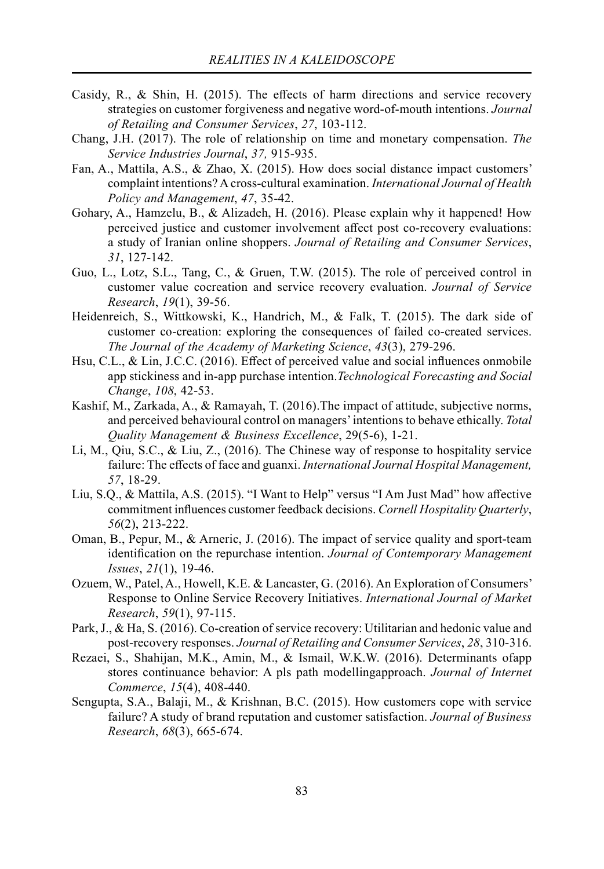- Casidy, R., & Shin, H. (2015). The effects of harm directions and service recovery strategies on customer forgiveness and negative word-of-mouth intentions. *Journal of Retailing and Consumer Services*, *27*, 103-112.
- Chang, J.H. (2017). The role of relationship on time and monetary compensation. *The Service Industries Journal*, *37,* 915-935.
- Fan, A., Mattila, A.S., & Zhao, X. (2015). How does social distance impact customers' complaint intentions? A cross-cultural examination. *International Journal of Health Policy and Management*, *47*, 35-42.
- Gohary, A., Hamzelu, B., & Alizadeh, H. (2016). Please explain why it happened! How perceived justice and customer involvement affect post co-recovery evaluations: a study of Iranian online shoppers. *Journal of Retailing and Consumer Services*, *31*, 127-142.
- Guo, L., Lotz, S.L., Tang, C., & Gruen, T.W. (2015). The role of perceived control in customer value cocreation and service recovery evaluation. *Journal of Service Research*, *19*(1), 39-56.
- Heidenreich, S., Wittkowski, K., Handrich, M., & Falk, T. (2015). The dark side of customer co-creation: exploring the consequences of failed co-created services. *The Journal of the Academy of Marketing Science*, *43*(3), 279-296.
- Hsu, C.L.,  $\&$  Lin, J.C.C. (2016). Effect of perceived value and social influences onmobile app stickiness and in-app purchase intention.*Technological Forecasting and Social Change*, *108*, 42-53.
- Kashif, M., Zarkada, A., & Ramayah, T. (2016).The impact of attitude, subjective norms, and perceived behavioural control on managers' intentions to behave ethically. *Total Quality Management & Business Excellence*, 29(5-6), 1-21.
- Li, M., Qiu, S.C., & Liu, Z., (2016). The Chinese way of response to hospitality service failure: The effects of face and guanxi. *International Journal Hospital Management*, *57*, 18-29.
- Liu, S.Q., & Mattila, A.S. (2015). "I Want to Help" versus "I Am Just Mad" how affective commitment influences customer feedback decisions. *Cornell Hospitality Quarterly*, *56*(2), 213-222.
- Oman, B., Pepur, M., & Arneric, J. (2016). The impact of service quality and sport-team identification on the repurchase intention. *Journal of Contemporary Management Issues*, *21*(1), 19-46.
- Ozuem, W., Patel, A., Howell, K.E. & Lancaster, G. (2016). An Exploration of Consumers' Response to Online Service Recovery Initiatives. *International Journal of Market Research*, *59*(1), 97-115.
- Park, J., & Ha, S. (2016). Co-creation of service recovery: Utilitarian and hedonic value and post-recovery responses. *Journal of Retailing and Consumer Services*, *28*, 310-316.
- Rezaei, S., Shahijan, M.K., Amin, M., & Ismail, W.K.W. (2016). Determinants ofapp stores continuance behavior: A pls path modellingapproach. *Journal of Internet Commerce*, *15*(4), 408-440.
- Sengupta, S.A., Balaji, M., & Krishnan, B.C. (2015). How customers cope with service failure? A study of brand reputation and customer satisfaction. *Journal of Business Research*, *68*(3), 665-674.